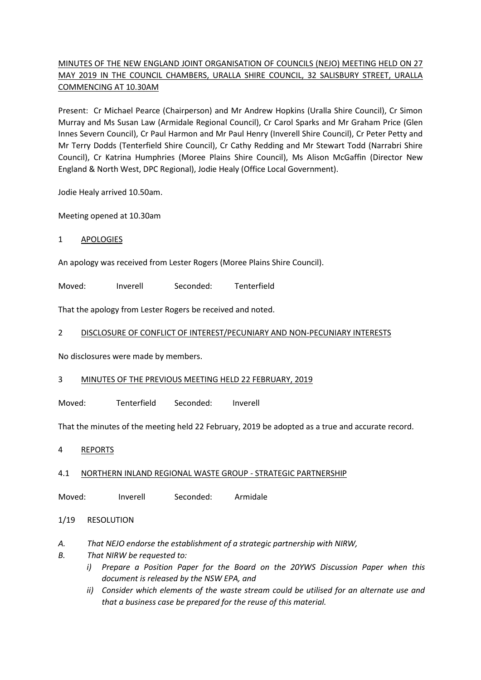# MINUTES OF THE NEW ENGLAND JOINT ORGANISATION OF COUNCILS (NEJO) MEETING HELD ON 27 MAY 2019 IN THE COUNCIL CHAMBERS, URALLA SHIRE COUNCIL, 32 SALISBURY STREET, URALLA COMMENCING AT 10.30AM

Present: Cr Michael Pearce (Chairperson) and Mr Andrew Hopkins (Uralla Shire Council), Cr Simon Murray and Ms Susan Law (Armidale Regional Council), Cr Carol Sparks and Mr Graham Price (Glen Innes Severn Council), Cr Paul Harmon and Mr Paul Henry (Inverell Shire Council), Cr Peter Petty and Mr Terry Dodds (Tenterfield Shire Council), Cr Cathy Redding and Mr Stewart Todd (Narrabri Shire Council), Cr Katrina Humphries (Moree Plains Shire Council), Ms Alison McGaffin (Director New England & North West, DPC Regional), Jodie Healy (Office Local Government).

Jodie Healy arrived 10.50am.

Meeting opened at 10.30am

1 APOLOGIES

An apology was received from Lester Rogers (Moree Plains Shire Council).

Moved: Inverell Seconded: Tenterfield

That the apology from Lester Rogers be received and noted.

## 2 DISCLOSURE OF CONFLICT OF INTEREST/PECUNIARY AND NON-PECUNIARY INTERESTS

No disclosures were made by members.

## 3 MINUTES OF THE PREVIOUS MEETING HELD 22 FEBRUARY, 2019

Moved: Tenterfield Seconded: Inverell

That the minutes of the meeting held 22 February, 2019 be adopted as a true and accurate record.

4 REPORTS

## 4.1 NORTHERN INLAND REGIONAL WASTE GROUP - STRATEGIC PARTNERSHIP

Moved: Inverell Seconded: Armidale

## 1/19 RESOLUTION

## *A. That NEJO endorse the establishment of a strategic partnership with NIRW,*

- *B. That NIRW be requested to:*
	- *i) Prepare a Position Paper for the Board on the 20YWS Discussion Paper when this document is released by the NSW EPA, and*
	- *ii) Consider which elements of the waste stream could be utilised for an alternate use and that a business case be prepared for the reuse of this material.*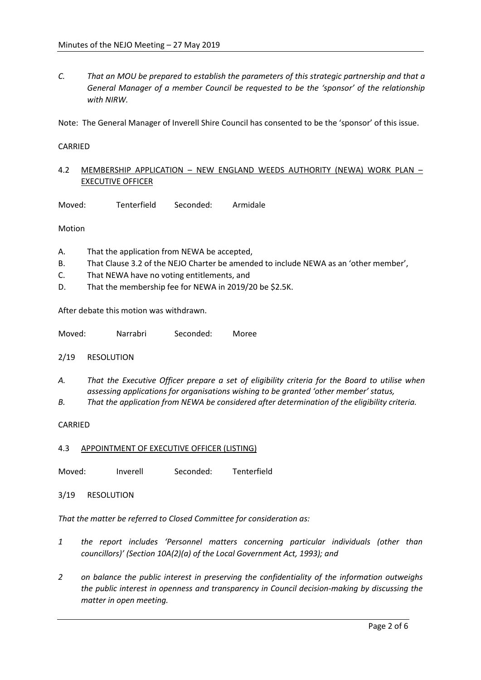*C. That an MOU be prepared to establish the parameters of this strategic partnership and that a General Manager of a member Council be requested to be the 'sponsor' of the relationship with NIRW.* 

Note: The General Manager of Inverell Shire Council has consented to be the 'sponsor' of this issue.

### CARRIED

## 4.2 MEMBERSHIP APPLICATION - NEW ENGLAND WEEDS AUTHORITY (NEWA) WORK PLAN -EXECUTIVE OFFICER

Moved: Tenterfield Seconded: Armidale

Motion

- A. That the application from NEWA be accepted,
- B. That Clause 3.2 of the NEJO Charter be amended to include NEWA as an 'other member',
- C. That NEWA have no voting entitlements, and
- D. That the membership fee for NEWA in 2019/20 be \$2.5K.

After debate this motion was withdrawn.

Moved: Narrabri Seconded: Moree

2/19 RESOLUTION

- *A. That the Executive Officer prepare a set of eligibility criteria for the Board to utilise when assessing applications for organisations wishing to be granted 'other member' status,*
- *B. That the application from NEWA be considered after determination of the eligibility criteria.*

### CARRIED

4.3 APPOINTMENT OF EXECUTIVE OFFICER (LISTING)

Moved: Inverell Seconded: Tenterfield

3/19 RESOLUTION

*That the matter be referred to Closed Committee for consideration as:*

- *1 the report includes 'Personnel matters concerning particular individuals (other than councillors)' (Section 10A(2)(a) of the Local Government Act, 1993); and*
- *2 on balance the public interest in preserving the confidentiality of the information outweighs the public interest in openness and transparency in Council decision-making by discussing the matter in open meeting.*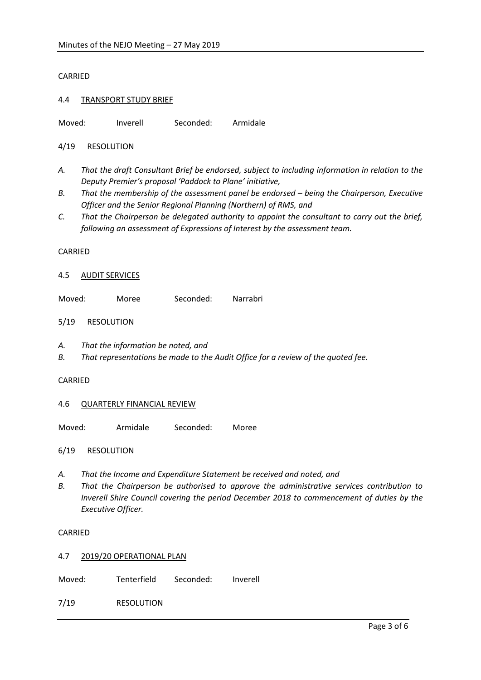### CARRIED

### 4.4 TRANSPORT STUDY BRIEF

Moved: Inverell Seconded: Armidale

4/19 RESOLUTION

- *A. That the draft Consultant Brief be endorsed, subject to including information in relation to the Deputy Premier's proposal 'Paddock to Plane' initiative,*
- *B.* That the membership of the assessment panel be endorsed being the Chairperson, Executive *Officer and the Senior Regional Planning (Northern) of RMS, and*
- *C. That the Chairperson be delegated authority to appoint the consultant to carry out the brief, following an assessment of Expressions of Interest by the assessment team.*

#### CARRIED

#### 4.5 AUDIT SERVICES

Moved: Moree Seconded: Narrabri

### 5/19 RESOLUTION

- *A. That the information be noted, and*
- *B. That representations be made to the Audit Office for a review of the quoted fee.*

#### CARRIED

#### 4.6 QUARTERLY FINANCIAL REVIEW

Moved: Armidale Seconded: Moree

6/19 RESOLUTION

- *A. That the Income and Expenditure Statement be received and noted, and*
- *B. That the Chairperson be authorised to approve the administrative services contribution to Inverell Shire Council covering the period December 2018 to commencement of duties by the Executive Officer.*

#### CARRIED

4.7 2019/20 OPERATIONAL PLAN

Moved: Tenterfield Seconded: Inverell

7/19 RESOLUTION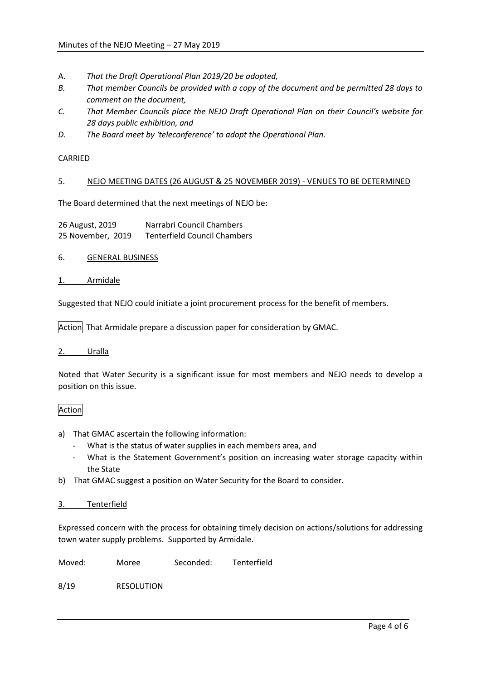- A. *That the Draft Operational Plan 2019/20 be adopted,*
- *B. That member Councils be provided with a copy of the document and be permitted 28 days to comment on the document,*
- *C. That Member Councils place the NEJO Draft Operational Plan on their Council's website for 28 days public exhibition, and*
- *D. The Board meet by 'teleconference' to adopt the Operational Plan.*

CARRIED

### 5. NEJO MEETING DATES (26 AUGUST & 25 NOVEMBER 2019) - VENUES TO BE DETERMINED

The Board determined that the next meetings of NEJO be:

| 26 August, 2019   | Narrabri Council Chambers           |
|-------------------|-------------------------------------|
| 25 November, 2019 | <b>Tenterfield Council Chambers</b> |

- 6. GENERAL BUSINESS
- 1. Armidale

Suggested that NEJO could initiate a joint procurement process for the benefit of members.

Action That Armidale prepare a discussion paper for consideration by GMAC.

### 2. Uralla

Noted that Water Security is a significant issue for most members and NEJO needs to develop a position on this issue.

## Action

- a) That GMAC ascertain the following information:
	- What is the status of water supplies in each members area, and
	- What is the Statement Government's position on increasing water storage capacity within the State
- b) That GMAC suggest a position on Water Security for the Board to consider.

### 3. Tenterfield

Expressed concern with the process for obtaining timely decision on actions/solutions for addressing town water supply problems. Supported by Armidale.

Moved: Moree Seconded: Tenterfield

8/19 RESOLUTION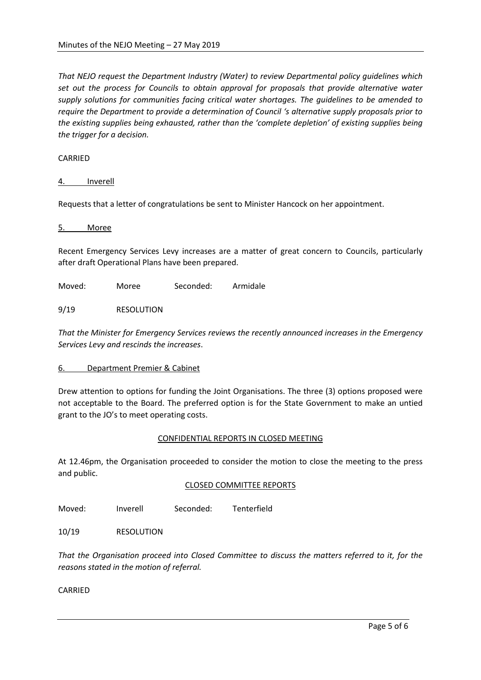*That NEJO request the Department Industry (Water) to review Departmental policy guidelines which set out the process for Councils to obtain approval for proposals that provide alternative water supply solutions for communities facing critical water shortages. The guidelines to be amended to require the Department to provide a determination of Council 's alternative supply proposals prior to the existing supplies being exhausted, rather than the 'complete depletion' of existing supplies being the trigger for a decision.* 

### CARRIED

### 4. Inverell

Requests that a letter of congratulations be sent to Minister Hancock on her appointment.

5. Moree

Recent Emergency Services Levy increases are a matter of great concern to Councils, particularly after draft Operational Plans have been prepared.

Moved: Moree Seconded: Armidale

9/19 RESOLUTION

*That the Minister for Emergency Services reviews the recently announced increases in the Emergency Services Levy and rescinds the increases*.

### 6. Department Premier & Cabinet

Drew attention to options for funding the Joint Organisations. The three (3) options proposed were not acceptable to the Board. The preferred option is for the State Government to make an untied grant to the JO's to meet operating costs.

### CONFIDENTIAL REPORTS IN CLOSED MEETING

At 12.46pm, the Organisation proceeded to consider the motion to close the meeting to the press and public.

### CLOSED COMMITTEE REPORTS

Moved: Inverell Seconded: Tenterfield

10/19 RESOLUTION

*That the Organisation proceed into Closed Committee to discuss the matters referred to it, for the reasons stated in the motion of referral.* 

CARRIED